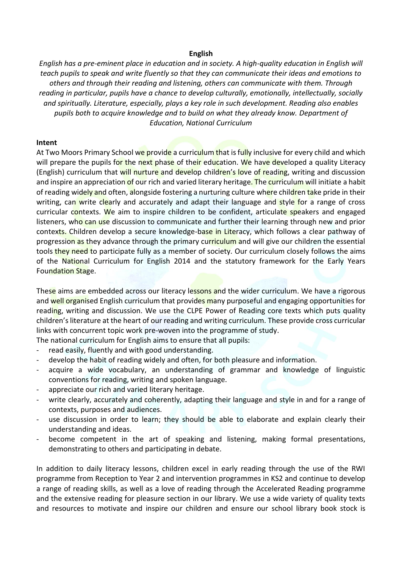## **English**

*English has a pre-eminent place in education and in society. A high-quality education in English will teach pupils to speak and write fluently so that they can communicate their ideas and emotions to others and through their reading and listening, others can communicate with them. Through reading in particular, pupils have a chance to develop culturally, emotionally, intellectually, socially and spiritually. Literature, especially, plays a key role in such development. Reading also enables pupils both to acquire knowledge and to build on what they already know. Department of Education, National Curriculum*

## **Intent**

At Two Moors Primary School we provide a curriculum that is fully inclusive for every child and which will prepare the pupils for the next phase of their education. We have developed a quality Literacy (English) curriculum that will nurture and develop children's love of reading, writing and discussion and inspire an appreciation of our rich and varied literary heritage. The curriculum will initiate a habit of reading widely and often, alongside fostering a nurturing culture where children take pride in their writing, can write clearly and accurately and adapt their language and style for a range of cross curricular contexts. We aim to inspire children to be confident, articulate speakers and engaged listeners, who can use discussion to communicate and further their learning through new and prior contexts. Children develop a secure knowledge-base in Literacy, which follows a clear pathway of progression as they advance through the primary curriculum and will give our children the essential tools they need to participate fully as a member of society. Our curriculum closely follows the aims of the National Curriculum for English 2014 and the statutory framework for the Early Years Foundation Stage.

These aims are embedded across our literacy lessons and the wider curriculum. We have a rigorous and well organised English curriculum that provides many purposeful and engaging opportunities for reading, writing and discussion. We use the CLPE Power of Reading core texts which puts quality children's literature at the heart of our reading and writing curriculum. These provide cross curricular links with concurrent topic work pre-woven into the programme of study.

The national curriculum for English aims to ensure that all pupils:

- read easily, fluently and with good understanding.
- develop the habit of reading widely and often, for both pleasure and information.
- acquire a wide vocabulary, an understanding of grammar and knowledge of linguistic conventions for reading, writing and spoken language.
- appreciate our rich and varied literary heritage.
- write clearly, accurately and coherently, adapting their language and style in and for a range of contexts, purposes and audiences.
- use discussion in order to learn; they should be able to elaborate and explain clearly their understanding and ideas.
- become competent in the art of speaking and listening, making formal presentations, demonstrating to others and participating in debate.

In addition to daily literacy lessons, children excel in early reading through the use of the RWI programme from Reception to Year 2 and intervention programmes in KS2 and continue to develop a range of reading skills, as well as a love of reading through the Accelerated Reading programme and the extensive reading for pleasure section in our library. We use a wide variety of quality texts and resources to motivate and inspire our children and ensure our school library book stock is